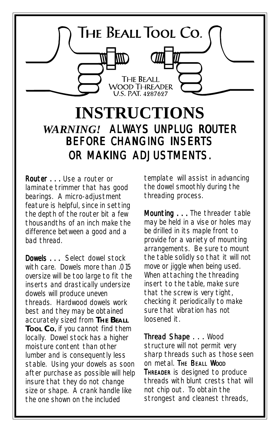

# **INSTRUCTIONS** *WARNING!* ALWAYS UNPLUG ROUTER BEFORE CHANGING INSERTS OR MAKING ADJUSTMENTS.

Router . . . Use a router or laminate trimmer that has good bearings. A micro-adjustment feature is helpful, since in setting the depth of the router bit a few thousandths of an inch make the difference between a good and a bad thread.

Dowels . . . Select dowel stock with care. Dowels more than .015 oversize will be too large to fit the inserts and *drastically* undersize dowels will produce uneven threads. Hardwood dowels work best and they may be obtained accurately sized from **THE BEALL Tool Co.** if you cannot find them locally. Dowel stock has a higher moisture content than other lumber and is consequently less stable. Using your dowels as soon after purchase as possible will help insure that they do not change size or shape. A crank handle like the one shown on the included

template will assist in advancing the dowel smoothly during the threading process.

Mounting . . . The threader table may be held in a vise or holes may be drilled in its maple front to provide for a variety of mounting arrangements. Be sure to mount the table solidly so that it will not move or jiggle when being used. When attaching the threading insert to the table, make sure that the screw is very tight, checking it periodically to make sure that vibration has not loosened it.

Thread Shape . . . Wood structure will not permit very sharp threads such as those seen on metal. THE BEALL WOOD **THREADER** is designed to produce threads with blunt crests that will not chip out. To obtain the strongest and cleanest threads,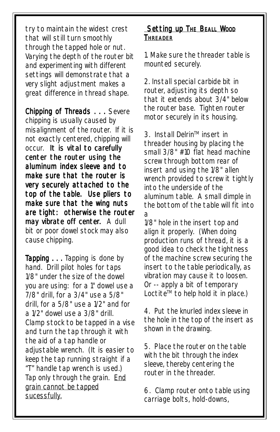try to maintain the widest crest that will still turn smoothly through the tapped hole or nut. Varying the depth of the router bit and experimenting with different settings will demonstrate that a very slight adjustment makes a great difference in thread shape.

Chipping of Threads . . . Severe chipping is usually caused by misalignment of the router. If it is not exactly centered, chipping will occur. It is vital to carefully *center the router using the aluminum index sleeve and to make sure that the router is very securely attached to the top of the table. Use pliers to make sure that the wing nuts are tight: otherwise the router may vibrate off center.* A dull bit or poor dowel stock may also cause chipping.

**Tapping ...** Tapping is done by hand. Drill pilot holes for taps 1/8" under the size of the dowel you are using: for a 1" dowel use a 7/8" drill, for a 3/4" use a 5/8" drill, for a 5/8" use a 1/2" and for a 1/2" dowel use a 3/8" drill. Clamp stock to be tapped in a vise and turn the tap through it with the aid of a tap handle or adjustable wrench. (It is easier to keep the tap running straight if a "T" handle tap wrench is used.) Tap only through the grain. End grain cannot be tapped sucessfully.

#### Setting up THE BEALL WOOD **THREADER**

1. Make sure the threader table is mounted securely.

2. Install special carbide bit in router, adjusting its depth so that it extends about 3/4" below the router base. Tighten router motor securely in its housing.

3. Install Delrin™ insert in threader housing by placing the small 3/8" #10 flat head machine screw through bottom rear of insert and using the 1/8" allen wrench provided to screw it tightly into the underside of the aluminum table. A small dimple in the bottom of the table will fit into a

1/8" hole in the insert top and align it properly. (When doing production runs of thread, it is a good idea to check the tightness of the machine screw securing the insert to the table periodically, as vibration may cause it to loosen. Or -- apply a bit of temporary Loctite<sup>™</sup> to help hold it in place.)

4. Put the knurled index sleeve in the hole in the top of the insert as shown in the drawing.

5. Place the router on the table with the bit through the index sleeve, thereby centering the router in the threader.

6. Clamp router onto table using carriage bolts, hold-downs,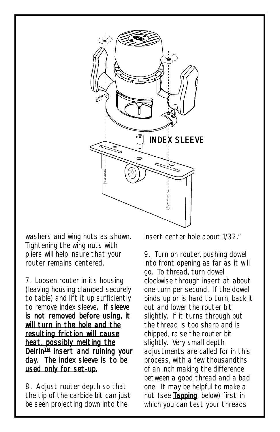

washers and wing nuts as shown. Tightening the wing nuts with pliers will help insure that your router remains centered.

7. Loosen router in its housing (leaving housing clamped securely to table) and lift it up sufficiently to remove index sleeve. If sleeve is not removed before using, it will turn in the hole and the resulting friction will cause heat, possibly melting the Delrin<sup>IM</sup> insert and ruining your day. The index sleeve is to be used *only* for set-up.

8. Adjust router depth so that the tip of the carbide bit can just be seen projecting down into the

insert center hole about 1/32."

9. Turn on router, pushing dowel into front opening as far as it will go. To thread, turn dowel clockwise through insert at about one turn per second. If the dowel binds up or is hard to turn, back it out and lower the router bit slightly. If it turns through but the thread is too sharp and is chipped, raise the router bit slightly. Very small depth adiustments are called for in this process, with a few thousandths of an inch making the difference between a good thread and a bad one. It may be helpful to make a nut (see Tapping, below) first in which you can test your threads